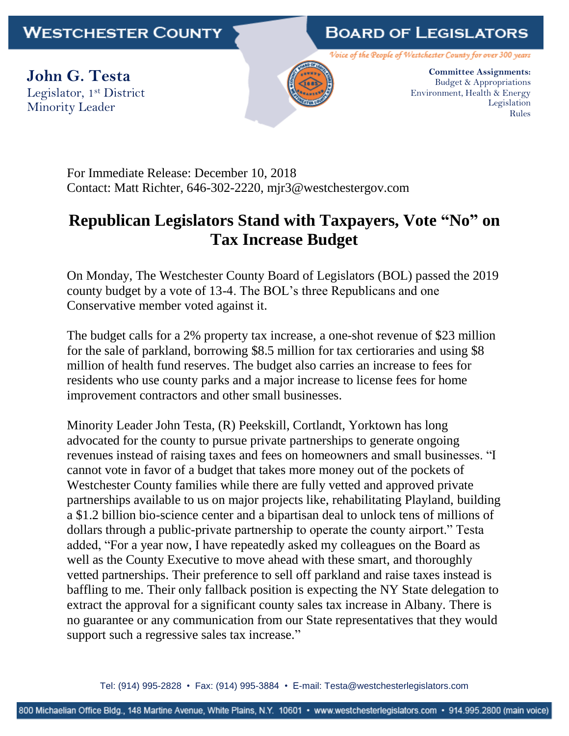## **WESTCHESTER COUNTY**

## **BOARD OF LEGISLATORS**

Voice of the People of Westchester County for over 300 years

**John G. Testa** Legislator, 1st District Minority Leader



**Committee Assignments:** Budget & Appropriations Environment, Health & Energy Legislation Rules

For Immediate Release: December 10, 2018 Contact: Matt Richter, 646-302-2220, [mjr3@westchestergov.com](mailto:mjr3@westchestergov.com)

## **Republican Legislators Stand with Taxpayers, Vote "No" on Tax Increase Budget**

On Monday, The Westchester County Board of Legislators (BOL) passed the 2019 county budget by a vote of 13-4. The BOL's three Republicans and one Conservative member voted against it.

The budget calls for a 2% property tax increase, a one-shot revenue of \$23 million for the sale of parkland, borrowing \$8.5 million for tax certioraries and using \$8 million of health fund reserves. The budget also carries an increase to fees for residents who use county parks and a major increase to license fees for home improvement contractors and other small businesses.

Minority Leader John Testa, (R) Peekskill, Cortlandt, Yorktown has long advocated for the county to pursue private partnerships to generate ongoing revenues instead of raising taxes and fees on homeowners and small businesses. "I cannot vote in favor of a budget that takes more money out of the pockets of Westchester County families while there are fully vetted and approved private partnerships available to us on major projects like, rehabilitating Playland, building a \$1.2 billion bio-science center and a bipartisan deal to unlock tens of millions of dollars through a public-private partnership to operate the county airport." Testa added, "For a year now, I have repeatedly asked my colleagues on the Board as well as the County Executive to move ahead with these smart, and thoroughly vetted partnerships. Their preference to sell off parkland and raise taxes instead is baffling to me. Their only fallback position is expecting the NY State delegation to extract the approval for a significant county sales tax increase in Albany. There is no guarantee or any communication from our State representatives that they would support such a regressive sales tax increase."

Tel: (914) 995-2828 • Fax: (914) 995-3884 • E-mail: Testa@westchesterlegislators.com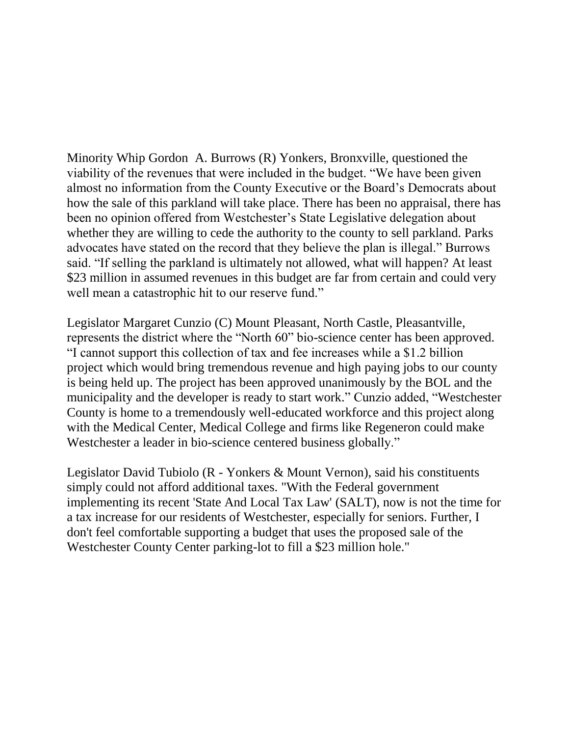Minority Whip Gordon A. Burrows (R) Yonkers, Bronxville, questioned the viability of the revenues that were included in the budget. "We have been given almost no information from the County Executive or the Board's Democrats about how the sale of this parkland will take place. There has been no appraisal, there has been no opinion offered from Westchester's State Legislative delegation about whether they are willing to cede the authority to the county to sell parkland. Parks advocates have stated on the record that they believe the plan is illegal." Burrows said. "If selling the parkland is ultimately not allowed, what will happen? At least \$23 million in assumed revenues in this budget are far from certain and could very well mean a catastrophic hit to our reserve fund."

Legislator Margaret Cunzio (C) Mount Pleasant, North Castle, Pleasantville, represents the district where the "North 60" bio-science center has been approved. "I cannot support this collection of tax and fee increases while a \$1.2 billion project which would bring tremendous revenue and high paying jobs to our county is being held up. The project has been approved unanimously by the BOL and the municipality and the developer is ready to start work." Cunzio added, "Westchester County is home to a tremendously well-educated workforce and this project along with the Medical Center, Medical College and firms like Regeneron could make Westchester a leader in bio-science centered business globally."

Legislator David Tubiolo (R - Yonkers & Mount Vernon), said his constituents simply could not afford additional taxes. "With the Federal government implementing its recent 'State And Local Tax Law' (SALT), now is not the time for a tax increase for our residents of Westchester, especially for seniors. Further, I don't feel comfortable supporting a budget that uses the proposed sale of the Westchester County Center parking-lot to fill a \$23 million hole."